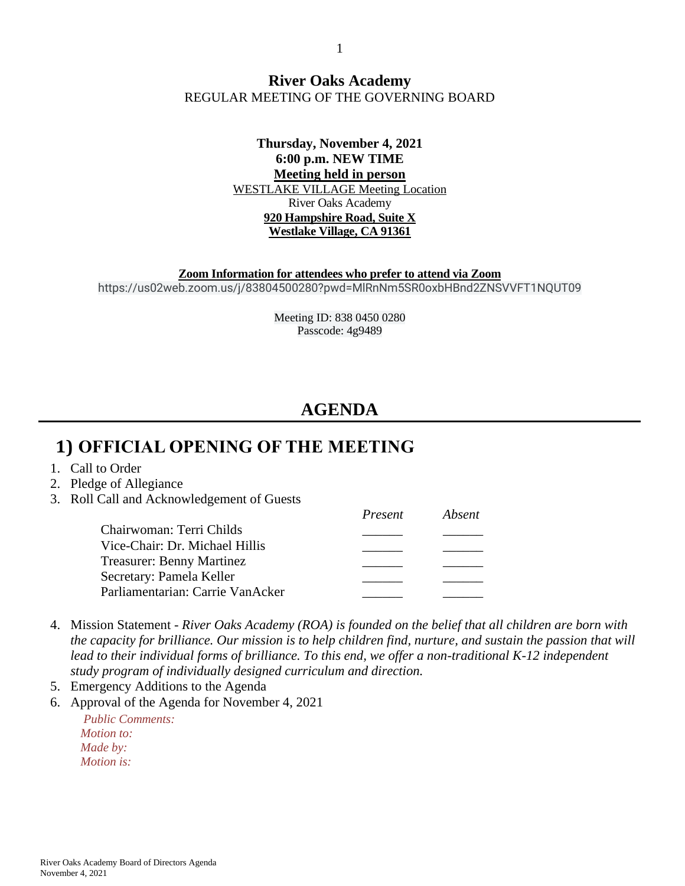#### **River Oaks Academy** REGULAR MEETING OF THE GOVERNING BOARD

#### **Thursday, November 4, 2021 6:00 p.m. NEW TIME Meeting held in person** WESTLAKE VILLAGE Meeting Location River Oaks Academy **920 Hampshire Road, Suite X Westlake Village, CA 91361**

**Zoom Information for attendees who prefer to attend via Zoom** https://us02web.zoom.us/j/83804500280?pwd=MlRnNm5SR0oxbHBnd2ZNSVVFT1NQUT09

> Meeting ID: 838 0450 0280 Passcode: 4g9489

# **AGENDA**

# **1) OFFICIAL OPENING OF THE MEETING**

- 1. Call to Order
- 2. Pledge of Allegiance
- 3. Roll Call and Acknowledgement of Guests

|                                  | Present | Absent |
|----------------------------------|---------|--------|
| Chairwoman: Terri Childs         |         |        |
| Vice-Chair: Dr. Michael Hillis   |         |        |
| <b>Treasurer: Benny Martinez</b> |         |        |
| Secretary: Pamela Keller         |         |        |
| Parliamentarian: Carrie VanAcker |         |        |

- 4. Mission Statement *River Oaks Academy (ROA) is founded on the belief that all children are born with the capacity for brilliance. Our mission is to help children find, nurture, and sustain the passion that will lead to their individual forms of brilliance. To this end, we offer a non-traditional K-12 independent study program of individually designed curriculum and direction.*
- 5. Emergency Additions to the Agenda
- 6. Approval of the Agenda for November 4, 2021

*Public Comments: Motion to: Made by: Motion is:*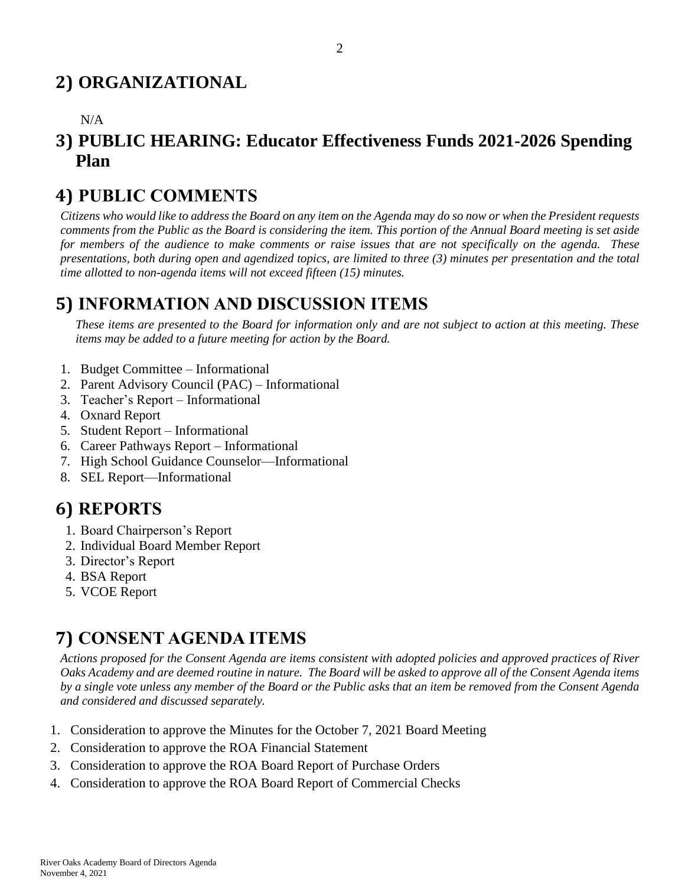# **2) ORGANIZATIONAL**

#### N/A

### **3) PUBLIC HEARING: Educator Effectiveness Funds 2021-2026 Spending Plan**

### **4) PUBLIC COMMENTS**

*Citizens who would like to address the Board on any item on the Agenda may do so now or when the President requests comments from the Public as the Board is considering the item. This portion of the Annual Board meeting is set aside for members of the audience to make comments or raise issues that are not specifically on the agenda. These presentations, both during open and agendized topics, are limited to three (3) minutes per presentation and the total time allotted to non-agenda items will not exceed fifteen (15) minutes.*

### **5) INFORMATION AND DISCUSSION ITEMS**

*These items are presented to the Board for information only and are not subject to action at this meeting. These items may be added to a future meeting for action by the Board.*

- 1. Budget Committee Informational
- 2. Parent Advisory Council (PAC) Informational
- 3. Teacher's Report Informational
- 4. Oxnard Report
- 5. Student Report Informational
- 6. Career Pathways Report Informational
- 7. High School Guidance Counselor—Informational
- 8. SEL Report—Informational

# **6) REPORTS**

- 1. Board Chairperson's Report
- 2. Individual Board Member Report
- 3. Director's Report
- 4. BSA Report
- 5. VCOE Report

# **7) CONSENT AGENDA ITEMS**

*Actions proposed for the Consent Agenda are items consistent with adopted policies and approved practices of River Oaks Academy and are deemed routine in nature. The Board will be asked to approve all of the Consent Agenda items by a single vote unless any member of the Board or the Public asks that an item be removed from the Consent Agenda and considered and discussed separately.*

- 1. Consideration to approve the Minutes for the October 7, 2021 Board Meeting
- 2. Consideration to approve the ROA Financial Statement
- 3. Consideration to approve the ROA Board Report of Purchase Orders
- 4. Consideration to approve the ROA Board Report of Commercial Checks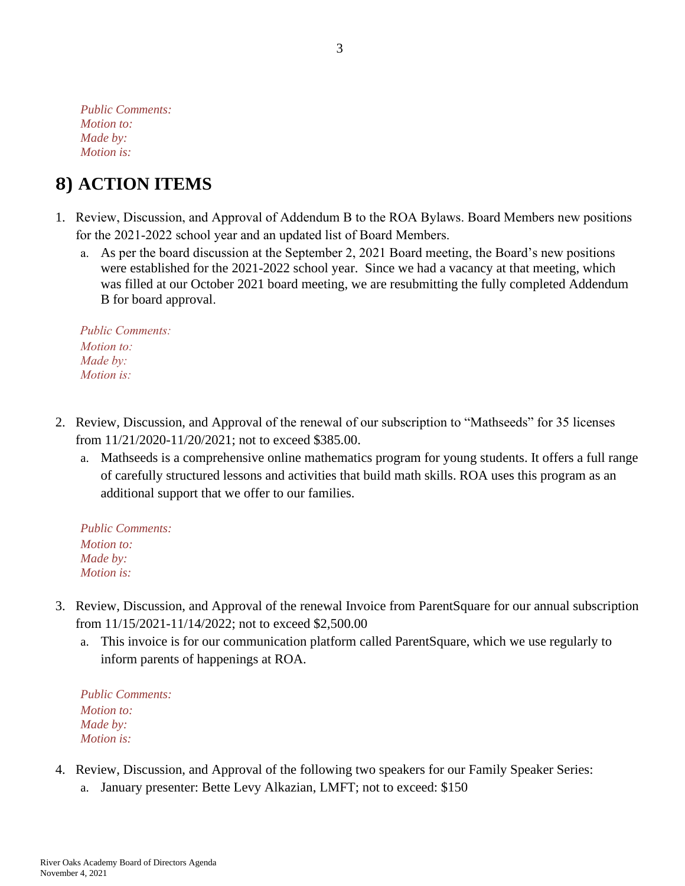*Public Comments: Motion to: Made by: Motion is:*

# **8) ACTION ITEMS**

- 1. Review, Discussion, and Approval of Addendum B to the ROA Bylaws. Board Members new positions for the 2021-2022 school year and an updated list of Board Members.
	- a. As per the board discussion at the September 2, 2021 Board meeting, the Board's new positions were established for the 2021-2022 school year. Since we had a vacancy at that meeting, which was filled at our October 2021 board meeting, we are resubmitting the fully completed Addendum B for board approval.

*Public Comments: Motion to: Made by: Motion is:*

- 2. Review, Discussion, and Approval of the renewal of our subscription to "Mathseeds" for 35 licenses from 11/21/2020-11/20/2021; not to exceed \$385.00.
	- a. Mathseeds is a comprehensive online mathematics program for young students. It offers a full range of carefully structured lessons and activities that build math skills. ROA uses this program as an additional support that we offer to our families.

*Public Comments: Motion to: Made by: Motion is:*

- 3. Review, Discussion, and Approval of the renewal Invoice from ParentSquare for our annual subscription from 11/15/2021-11/14/2022; not to exceed \$2,500.00
	- a. This invoice is for our communication platform called ParentSquare, which we use regularly to inform parents of happenings at ROA.

*Public Comments: Motion to: Made by: Motion is:*

- 4. Review, Discussion, and Approval of the following two speakers for our Family Speaker Series:
	- a. January presenter: Bette Levy Alkazian, LMFT; not to exceed: \$150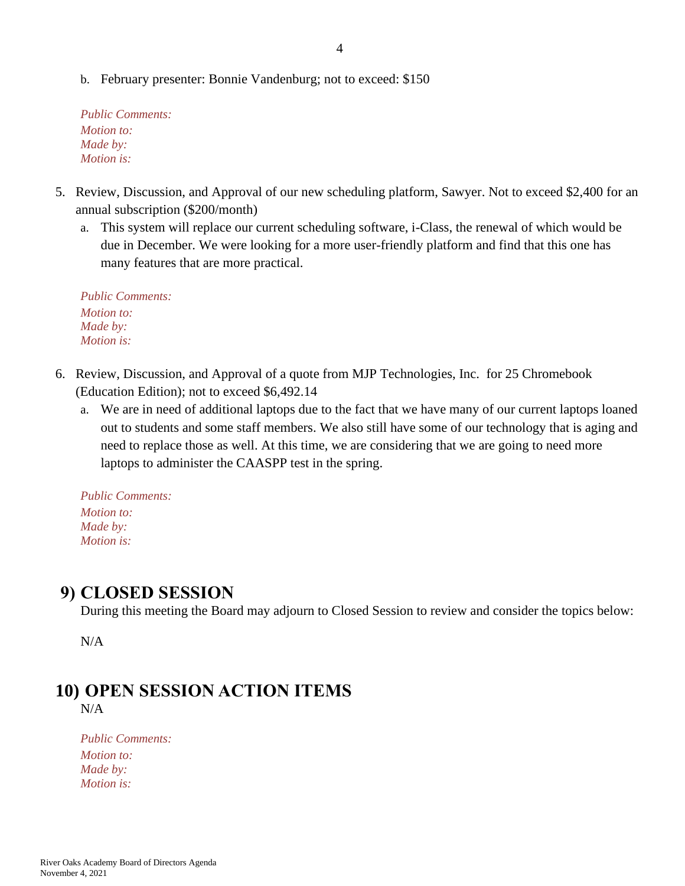b. February presenter: Bonnie Vandenburg; not to exceed: \$150

*Public Comments: Motion to: Made by: Motion is:*

- 5. Review, Discussion, and Approval of our new scheduling platform, Sawyer. Not to exceed \$2,400 for an annual subscription (\$200/month)
	- a. This system will replace our current scheduling software, i-Class, the renewal of which would be due in December. We were looking for a more user-friendly platform and find that this one has many features that are more practical.

*Public Comments: Motion to: Made by: Motion is:*

- 6. Review, Discussion, and Approval of a quote from MJP Technologies, Inc. for 25 Chromebook (Education Edition); not to exceed \$6,492.14
	- a. We are in need of additional laptops due to the fact that we have many of our current laptops loaned out to students and some staff members. We also still have some of our technology that is aging and need to replace those as well. At this time, we are considering that we are going to need more laptops to administer the CAASPP test in the spring.

*Public Comments: Motion to: Made by: Motion is:*

#### **9) CLOSED SESSION**

During this meeting the Board may adjourn to Closed Session to review and consider the topics below:

N/A

# **10) OPEN SESSION ACTION ITEMS**

N/A

*Public Comments: Motion to: Made by: Motion is:*